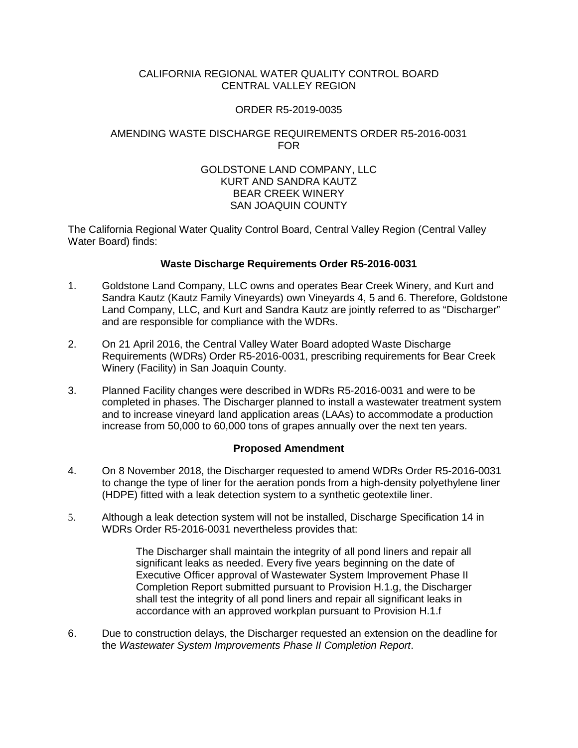## CALIFORNIA REGIONAL WATER QUALITY CONTROL BOARD CENTRAL VALLEY REGION

### ORDER R5-2019-0035

# AMENDING WASTE DISCHARGE REQUIREMENTS ORDER R5-2016-0031 FOR

### GOLDSTONE LAND COMPANY, LLC KURT AND SANDRA KAUTZ BEAR CREEK WINERY SAN JOAQUIN COUNTY

The California Regional Water Quality Control Board, Central Valley Region (Central Valley Water Board) finds:

### **Waste Discharge Requirements Order R5-2016-0031**

- 1. Goldstone Land Company, LLC owns and operates Bear Creek Winery, and Kurt and Sandra Kautz (Kautz Family Vineyards) own Vineyards 4, 5 and 6. Therefore, Goldstone Land Company, LLC, and Kurt and Sandra Kautz are jointly referred to as "Discharger" and are responsible for compliance with the WDRs.
- 2. On 21 April 2016, the Central Valley Water Board adopted Waste Discharge Requirements (WDRs) Order R5-2016-0031, prescribing requirements for Bear Creek Winery (Facility) in San Joaquin County.
- 3. Planned Facility changes were described in WDRs R5-2016-0031 and were to be completed in phases. The Discharger planned to install a wastewater treatment system and to increase vineyard land application areas (LAAs) to accommodate a production increase from 50,000 to 60,000 tons of grapes annually over the next ten years.

# **Proposed Amendment**

- 4. On 8 November 2018, the Discharger requested to amend WDRs Order R5-2016-0031 to change the type of liner for the aeration ponds from a high-density polyethylene liner (HDPE) fitted with a leak detection system to a synthetic geotextile liner.
- 5. Although a leak detection system will not be installed, Discharge Specification 14 in WDRs Order R5-2016-0031 nevertheless provides that:

The Discharger shall maintain the integrity of all pond liners and repair all significant leaks as needed. Every five years beginning on the date of Executive Officer approval of Wastewater System Improvement Phase II Completion Report submitted pursuant to Provision H.1.g, the Discharger shall test the integrity of all pond liners and repair all significant leaks in accordance with an approved workplan pursuant to Provision H.1.f

6. Due to construction delays, the Discharger requested an extension on the deadline for the *Wastewater System Improvements Phase II Completion Report*.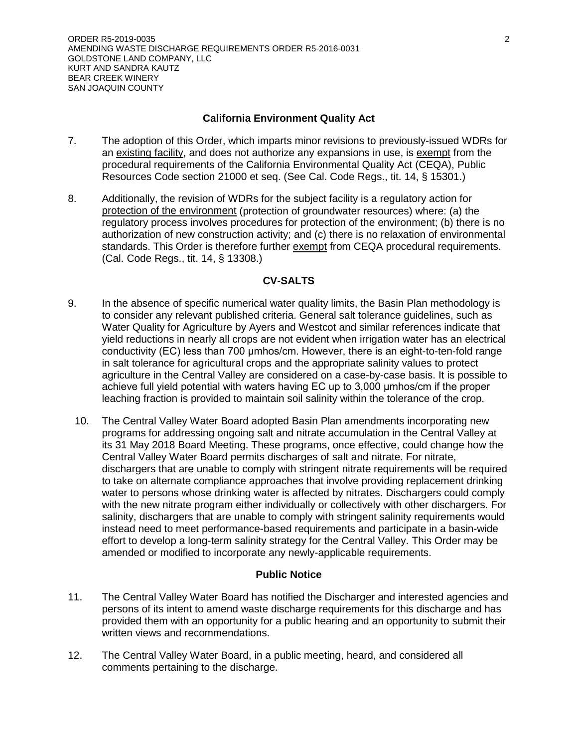### **California Environment Quality Act**

- 7. The adoption of this Order, which imparts minor revisions to previously-issued WDRs for an existing facility, and does not authorize any expansions in use, is exempt from the procedural requirements of the California Environmental Quality Act (CEQA), Public Resources Code section 21000 et seq. (See Cal. Code Regs., tit. 14, § 15301.)
- 8. Additionally, the revision of WDRs for the subject facility is a regulatory action for protection of the environment (protection of groundwater resources) where: (a) the regulatory process involves procedures for protection of the environment; (b) there is no authorization of new construction activity; and (c) there is no relaxation of environmental standards. This Order is therefore further exempt from CEQA procedural requirements. (Cal. Code Regs., tit. 14, § 13308.)

## **CV-SALTS**

- 9. In the absence of specific numerical water quality limits, the Basin Plan methodology is to consider any relevant published criteria. General salt tolerance guidelines, such as Water Quality for Agriculture by Ayers and Westcot and similar references indicate that yield reductions in nearly all crops are not evident when irrigation water has an electrical conductivity (EC) less than 700 μmhos/cm. However, there is an eight-to-ten-fold range in salt tolerance for agricultural crops and the appropriate salinity values to protect agriculture in the Central Valley are considered on a case-by-case basis. It is possible to achieve full yield potential with waters having EC up to 3,000 μmhos/cm if the proper leaching fraction is provided to maintain soil salinity within the tolerance of the crop.
	- 10. The Central Valley Water Board adopted Basin Plan amendments incorporating new programs for addressing ongoing salt and nitrate accumulation in the Central Valley at its 31 May 2018 Board Meeting. These programs, once effective, could change how the Central Valley Water Board permits discharges of salt and nitrate. For nitrate, dischargers that are unable to comply with stringent nitrate requirements will be required to take on alternate compliance approaches that involve providing replacement drinking water to persons whose drinking water is affected by nitrates. Dischargers could comply with the new nitrate program either individually or collectively with other dischargers. For salinity, dischargers that are unable to comply with stringent salinity requirements would instead need to meet performance-based requirements and participate in a basin-wide effort to develop a long-term salinity strategy for the Central Valley. This Order may be amended or modified to incorporate any newly-applicable requirements.

#### **Public Notice**

- 11. The Central Valley Water Board has notified the Discharger and interested agencies and persons of its intent to amend waste discharge requirements for this discharge and has provided them with an opportunity for a public hearing and an opportunity to submit their written views and recommendations.
- 12. The Central Valley Water Board, in a public meeting, heard, and considered all comments pertaining to the discharge.